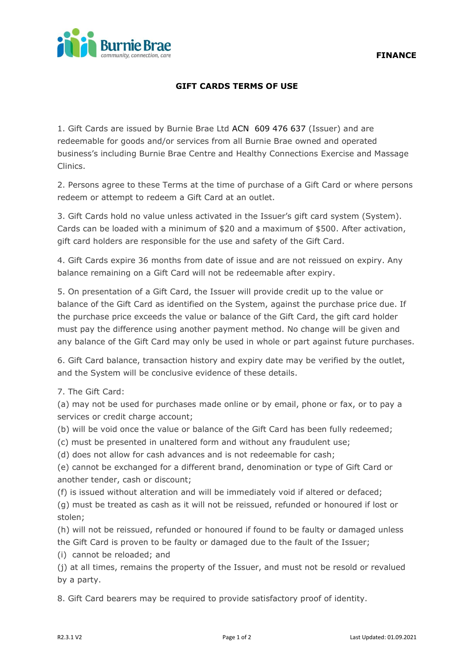

## **GIFT CARDS TERMS OF USE**

1. Gift Cards are issued by Burnie Brae Ltd ACN 609 476 637 (Issuer) and are redeemable for goods and/or services from all Burnie Brae owned and operated business's including Burnie Brae Centre and Healthy Connections Exercise and Massage Clinics.

2. Persons agree to these Terms at the time of purchase of a Gift Card or where persons redeem or attempt to redeem a Gift Card at an outlet.

3. Gift Cards hold no value unless activated in the Issuer's gift card system (System). Cards can be loaded with a minimum of \$20 and a maximum of \$500. After activation, gift card holders are responsible for the use and safety of the Gift Card.

4. Gift Cards expire 36 months from date of issue and are not reissued on expiry. Any balance remaining on a Gift Card will not be redeemable after expiry.

5. On presentation of a Gift Card, the Issuer will provide credit up to the value or balance of the Gift Card as identified on the System, against the purchase price due. If the purchase price exceeds the value or balance of the Gift Card, the gift card holder must pay the difference using another payment method. No change will be given and any balance of the Gift Card may only be used in whole or part against future purchases.

6. Gift Card balance, transaction history and expiry date may be verified by the outlet, and the System will be conclusive evidence of these details.

7. The Gift Card:

(a) may not be used for purchases made online or by email, phone or fax, or to pay a services or credit charge account;

(b) will be void once the value or balance of the Gift Card has been fully redeemed;

(c) must be presented in unaltered form and without any fraudulent use;

(d) does not allow for cash advances and is not redeemable for cash;

(e) cannot be exchanged for a different brand, denomination or type of Gift Card or another tender, cash or discount;

(f) is issued without alteration and will be immediately void if altered or defaced;

(g) must be treated as cash as it will not be reissued, refunded or honoured if lost or stolen;

(h) will not be reissued, refunded or honoured if found to be faulty or damaged unless the Gift Card is proven to be faulty or damaged due to the fault of the Issuer;

(i) cannot be reloaded; and

(j) at all times, remains the property of the Issuer, and must not be resold or revalued by a party.

8. Gift Card bearers may be required to provide satisfactory proof of identity.